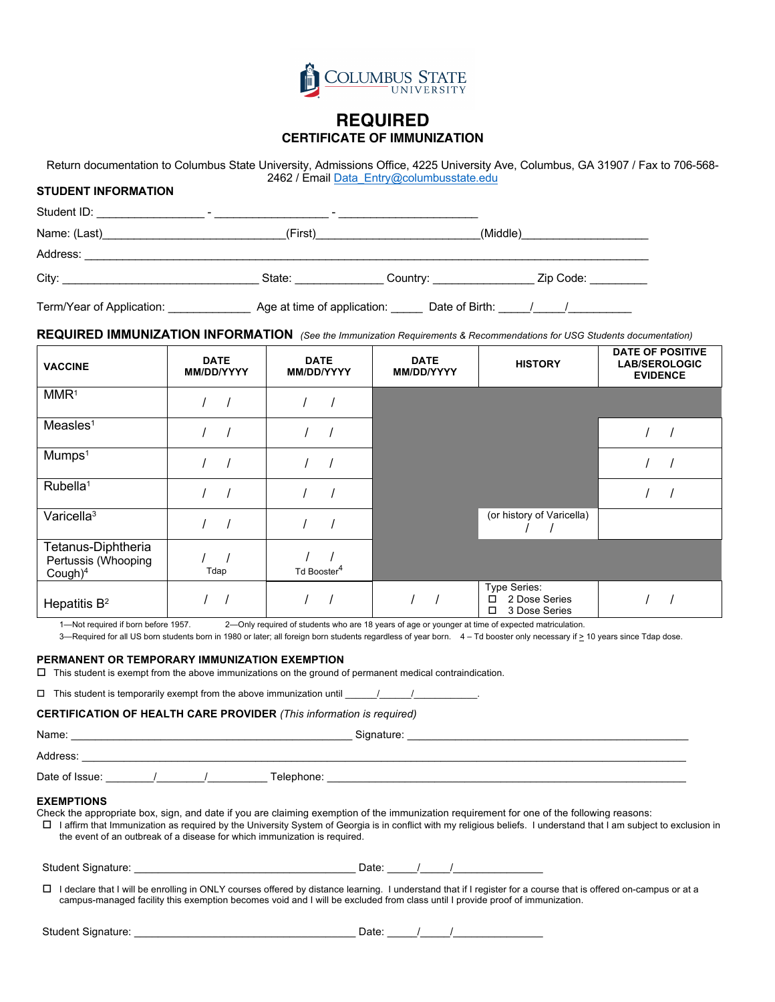

## **REQUIRED CERTIFICATE OF IMMUNIZATION**

 Return documentation to Columbus State University, Admissions Office, 4225 University Ave, Columbus, GA 31907 / Fax to 706-568- 2462 / Email Data\_Entry@columbusstate.edu

### **STUDENT INFORMATION**

| Student ID:<br>-          |                             |                      |                  |
|---------------------------|-----------------------------|----------------------|------------------|
| Name: (Last)              | (First)                     |                      | (Middle)         |
| Address:                  |                             |                      |                  |
|                           | State:                      | Country: ___________ | Zip Code: ______ |
| Term/Year of Application: | Age at time of application: | Date of Birth:       |                  |

 **REQUIRED IMMUNIZATION INFORMATION** *(See the Immunization Requirements & Recommendations for USG Students documentation)* 

| <b>VACCINE</b>                                          | <b>DATE</b><br>MM/DD/YYYY | <b>DATE</b><br>MM/DD/YYYY | <b>DATE</b><br><b>MM/DD/YYYY</b> | <b>HISTORY</b>                                           | DATE OF POSITIVE<br><b>LAB/SEROLOGIC</b><br><b>EVIDENCE</b> |
|---------------------------------------------------------|---------------------------|---------------------------|----------------------------------|----------------------------------------------------------|-------------------------------------------------------------|
| MMR <sup>1</sup>                                        |                           |                           |                                  |                                                          |                                                             |
| Measles <sup>1</sup>                                    |                           |                           |                                  |                                                          |                                                             |
| Mumps <sup>1</sup>                                      |                           |                           |                                  |                                                          |                                                             |
| Rubella <sup>1</sup>                                    |                           |                           |                                  |                                                          |                                                             |
| Varicella <sup>3</sup>                                  |                           |                           |                                  | (or history of Varicella)                                |                                                             |
| Tetanus-Diphtheria<br>Pertussis (Whooping<br>$Cough)^4$ | Tdap                      | Td Booster <sup>4</sup>   |                                  |                                                          |                                                             |
| Hepatitis $B^2$                                         |                           |                           |                                  | Type Series:<br>2 Dose Series<br>□<br>3 Dose Series<br>□ |                                                             |

1—Not required if born before 1957. 2—Only required of students who are 18 years of age or younger at time of expected matriculation.

3—Required for all US born students born in 1980 or later; all foreign born students regardless of year born. 4 – Td booster only necessary if > 10 years since Tdap dose.

#### **PERMANENT OR TEMPORARY IMMUNIZATION EXEMPTION**

 $\Box$  This student is exempt from the above immunizations on the ground of permanent medical contraindication.

 $\Box$  This student is temporarily exempt from the above immunization until  $\Box$  /

#### **CERTIFICATION OF HEALTH CARE PROVIDER** *(This information is required)*

| <b>EXEMPTIONS</b><br>the event of an outbreak of a disease for which immunization is required. | Check the appropriate box, sign, and date if you are claiming exemption of the immunization requirement for one of the following reasons:<br>□ 1 affirm that Immunization as required by the University System of Georgia is in conflict with my religious beliefs. I understand that I am subject to exclusion in |
|------------------------------------------------------------------------------------------------|--------------------------------------------------------------------------------------------------------------------------------------------------------------------------------------------------------------------------------------------------------------------------------------------------------------------|
|                                                                                                |                                                                                                                                                                                                                                                                                                                    |
|                                                                                                | □ I declare that I will be enrolling in ONLY courses offered by distance learning. I understand that if I register for a course that is offered on-campus or at a<br>campus-managed facility this exemption becomes void and I will be excluded from class until I provide proof of immunization.                  |
|                                                                                                | Date: $\sqrt{2}$ /                                                                                                                                                                                                                                                                                                 |